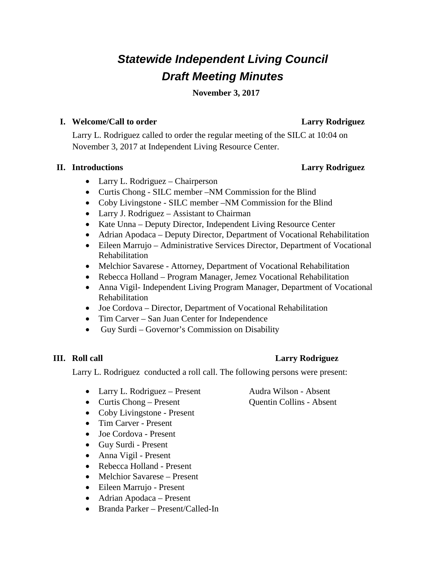# *Statewide Independent Living Council Draft Meeting Minutes*

**November 3, 2017**

## **I. Welcome/Call to order Larry Rodriguez**

Larry L. Rodriguez called to order the regular meeting of the SILC at 10:04 on November 3, 2017 at Independent Living Resource Center.

# **II. Introductions Larry Rodriguez**

- Larry L. Rodriguez Chairperson
- Curtis Chong SILC member –NM Commission for the Blind
- Coby Livingstone SILC member –NM Commission for the Blind
- Larry J. Rodriguez Assistant to Chairman
- Kate Unna Deputy Director, Independent Living Resource Center
- Adrian Apodaca Deputy Director, Department of Vocational Rehabilitation
- Eileen Marrujo Administrative Services Director, Department of Vocational Rehabilitation
- Melchior Savarese Attorney, Department of Vocational Rehabilitation
- Rebecca Holland Program Manager, Jemez Vocational Rehabilitation
- Anna Vigil- Independent Living Program Manager, Department of Vocational Rehabilitation
- Joe Cordova Director, Department of Vocational Rehabilitation
- Tim Carver San Juan Center for Independence
- Guy Surdi Governor's Commission on Disability

Larry L. Rodriguez conducted a roll call. The following persons were present:

- Larry L. Rodriguez Present Audra Wilson Absent
- Curtis Chong Present Quentin Collins Absent
- Coby Livingstone Present
- Tim Carver Present
- Joe Cordova Present
- Guy Surdi Present
- Anna Vigil Present
- Rebecca Holland Present
- Melchior Savarese Present
- Eileen Marrujo Present
- Adrian Apodaca Present
- Branda Parker Present/Called-In

# **III. Roll call Larry Rodriguez**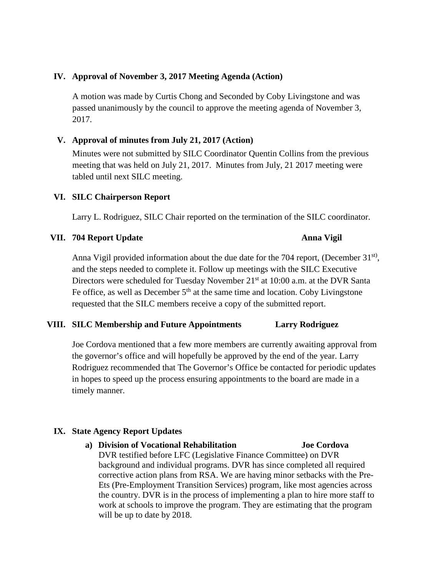### **IV. Approval of November 3, 2017 Meeting Agenda (Action)**

A motion was made by Curtis Chong and Seconded by Coby Livingstone and was passed unanimously by the council to approve the meeting agenda of November 3, 2017.

### **V. Approval of minutes from July 21, 2017 (Action)**

Minutes were not submitted by SILC Coordinator Quentin Collins from the previous meeting that was held on July 21, 2017. Minutes from July, 21 2017 meeting were tabled until next SILC meeting.

#### **VI. SILC Chairperson Report**

Larry L. Rodriguez, SILC Chair reported on the termination of the SILC coordinator.

#### **VII. 704 Report Update Anna Vigil**

Anna Vigil provided information about the due date for the 704 report, (December 31st), and the steps needed to complete it. Follow up meetings with the SILC Executive Directors were scheduled for Tuesday November 21<sup>st</sup> at 10:00 a.m. at the DVR Santa Fe office, as well as December  $5<sup>th</sup>$  at the same time and location. Coby Livingstone requested that the SILC members receive a copy of the submitted report.

#### **VIII. SILC Membership and Future Appointments Larry Rodriguez**

Joe Cordova mentioned that a few more members are currently awaiting approval from the governor's office and will hopefully be approved by the end of the year. Larry Rodriguez recommended that The Governor's Office be contacted for periodic updates in hopes to speed up the process ensuring appointments to the board are made in a timely manner.

#### **IX. State Agency Report Updates**

**a) Division of Vocational Rehabilitation Joe Cordova** DVR testified before LFC (Legislative Finance Committee) on DVR background and individual programs. DVR has since completed all required corrective action plans from RSA. We are having minor setbacks with the Pre-Ets (Pre-Employment Transition Services) program, like most agencies across the country. DVR is in the process of implementing a plan to hire more staff to work at schools to improve the program. They are estimating that the program will be up to date by 2018.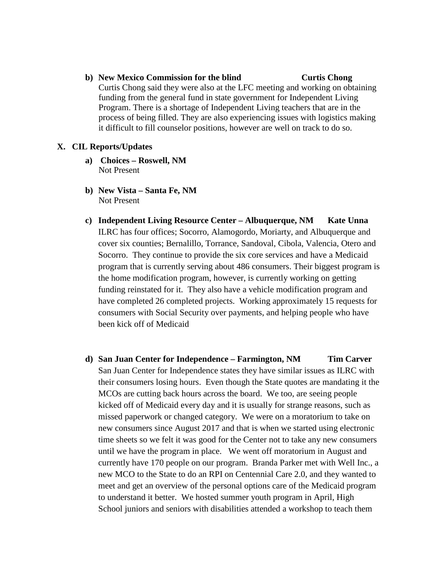**b) New Mexico Commission for the blind Curtis Chong** Curtis Chong said they were also at the LFC meeting and working on obtaining funding from the general fund in state government for Independent Living Program. There is a shortage of Independent Living teachers that are in the process of being filled. They are also experiencing issues with logistics making it difficult to fill counselor positions, however are well on track to do so.

#### **X. CIL Reports/Updates**

- **a) Choices – Roswell, NM** Not Present
- **b) New Vista – Santa Fe, NM** Not Present
- **c) Independent Living Resource Center – Albuquerque, NM Kate Unna** ILRC has four offices; Socorro, Alamogordo, Moriarty, and Albuquerque and cover six counties; Bernalillo, Torrance, Sandoval, Cibola, Valencia, Otero and Socorro. They continue to provide the six core services and have a Medicaid program that is currently serving about 486 consumers. Their biggest program is the home modification program, however, is currently working on getting funding reinstated for it. They also have a vehicle modification program and have completed 26 completed projects. Working approximately 15 requests for consumers with Social Security over payments, and helping people who have been kick off of Medicaid
- **d) San Juan Center for Independence – Farmington, NM Tim Carver** San Juan Center for Independence states they have similar issues as ILRC with their consumers losing hours. Even though the State quotes are mandating it the MCOs are cutting back hours across the board. We too, are seeing people kicked off of Medicaid every day and it is usually for strange reasons, such as missed paperwork or changed category. We were on a moratorium to take on new consumers since August 2017 and that is when we started using electronic time sheets so we felt it was good for the Center not to take any new consumers until we have the program in place. We went off moratorium in August and currently have 170 people on our program. Branda Parker met with Well Inc., a new MCO to the State to do an RPI on Centennial Care 2.0, and they wanted to meet and get an overview of the personal options care of the Medicaid program to understand it better. We hosted summer youth program in April, High School juniors and seniors with disabilities attended a workshop to teach them